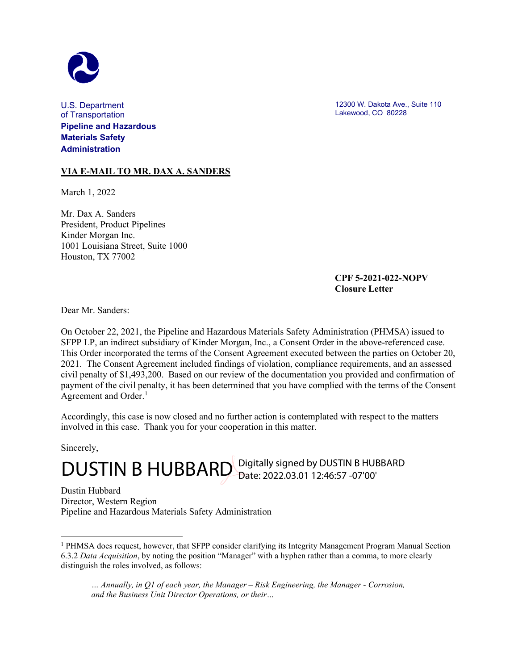

U.S. Department of Transportation **Pipeline and Hazardous Materials Safety Administration**

**VIA E-MAIL TO MR. DAX A. SANDERS**

March 1, 2022

Mr. Dax A. Sanders President, Product Pipelines Kinder Morgan Inc. 1001 Louisiana Street, Suite 1000 Houston, TX 77002

12300 W. Dakota Ave., Suite 110 Lakewood, CO 80228

## **CPF 5-2021-022-NOPV Closure Letter**

Dear Mr. Sanders:

On October 22, 2021, the Pipeline and Hazardous Materials Safety Administration (PHMSA) issued to SFPP LP, an indirect subsidiary of Kinder Morgan, Inc., a Consent Order in the above-referenced case. This Order incorporated the terms of the Consent Agreement executed between the parties on October 20, 2021. The Consent Agreement included findings of violation, compliance requirements, and an assessed civil penalty of \$1,493,200. Based on our review of the documentation you provided and confirmation of payment of the civil penalty, it has been determined that you have complied with the terms of the Consent Agreement and Order.<sup>[1](#page-0-0)</sup>

Accordingly, this case is now closed and no further action is contemplated with respect to the matters involved in this case. Thank you for your cooperation in this matter.

Sincerely,

DUSTIN B HUBBARD Digitally signed by DUSTIN B HUBBARD

Dustin Hubbard Director, Western Region Pipeline and Hazardous Materials Safety Administration

*… Annually, in Q1 of each year, the Manager – Risk Engineering, the Manager - Corrosion, and the Business Unit Director Operations, or their…*

<span id="page-0-0"></span><sup>1</sup> PHMSA does request, however, that SFPP consider clarifying its Integrity Management Program Manual Section 6.3.2 *Data Acquisition*, by noting the position "Manager" with a hyphen rather than a comma, to more clearly distinguish the roles involved, as follows: